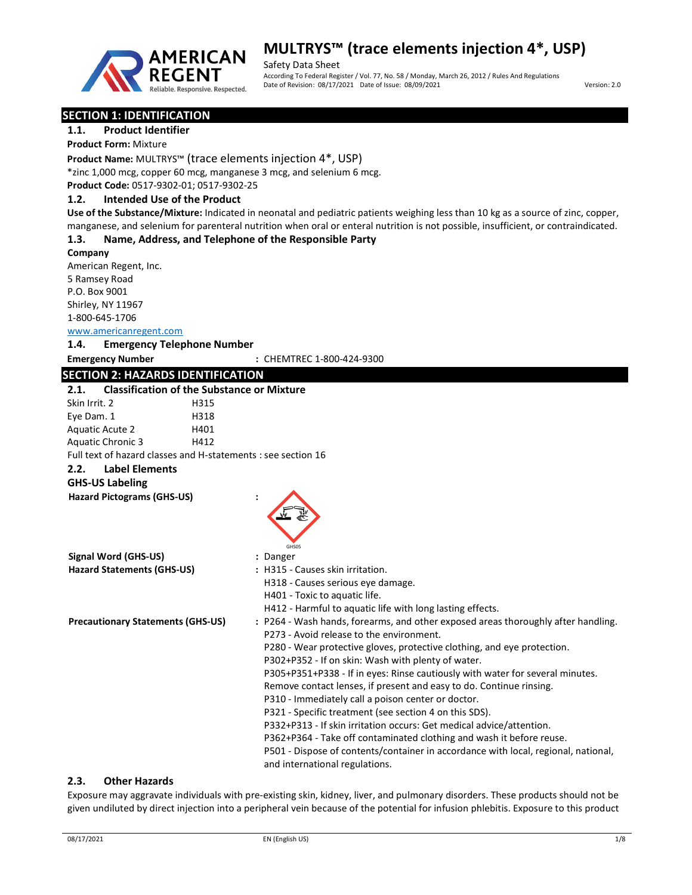

Safety Data Sheet According To Federal Register / Vol. 77, No. 58 / Monday, March 26, 2012 / Rules And Regulations Date of Revision: 08/17/2021 Date of Issue: 08/09/2021 Version: 2.0

# SECTION 1: IDENTIFICATION

# 1.1. Product Identifier

Product Form: Mixture

Product Name: MULTRYS™ (trace elements injection 4\*, USP)

\*zinc 1,000 mcg, copper 60 mcg, manganese 3 mcg, and selenium 6 mcg.

Product Code: 0517-9302-01; 0517-9302-25

### 1.2. Intended Use of the Product

Use of the Substance/Mixture: Indicated in neonatal and pediatric patients weighing less than 10 kg as a source of zinc, copper, manganese, and selenium for parenteral nutrition when oral or enteral nutrition is not possible, insufficient, or contraindicated.

### 1.3. Name, Address, and Telephone of the Responsible Party

Company American Regent, Inc. 5 Ramsey Road P.O. Box 9001 Shirley, NY 11967 1-800-645-1706

www.americanregent.com

#### 1.4. Emergency Telephone Number

Emergency Number : CHEMTREC 1-800-424-9300

# SECTION 2: HAZARDS IDENTIFICATION

| SECTION 2. HAZARDS IDENTIFICATION        |                                                                                    |
|------------------------------------------|------------------------------------------------------------------------------------|
| 2.1.                                     | <b>Classification of the Substance or Mixture</b>                                  |
| Skin Irrit. 2                            | H315                                                                               |
| Eye Dam. 1                               | H318                                                                               |
| Aquatic Acute 2                          | H401                                                                               |
| <b>Aquatic Chronic 3</b>                 | H412                                                                               |
|                                          | Full text of hazard classes and H-statements : see section 16                      |
| <b>Label Elements</b><br>2.2.            |                                                                                    |
| <b>GHS-US Labeling</b>                   |                                                                                    |
| <b>Hazard Pictograms (GHS-US)</b>        |                                                                                    |
|                                          |                                                                                    |
|                                          |                                                                                    |
|                                          |                                                                                    |
|                                          | GHS05                                                                              |
| Signal Word (GHS-US)                     | : Danger                                                                           |
| <b>Hazard Statements (GHS-US)</b>        | : H315 - Causes skin irritation.                                                   |
|                                          | H318 - Causes serious eye damage.                                                  |
|                                          | H401 - Toxic to aquatic life.                                                      |
|                                          | H412 - Harmful to aquatic life with long lasting effects.                          |
| <b>Precautionary Statements (GHS-US)</b> | : P264 - Wash hands, forearms, and other exposed areas thoroughly after handling.  |
|                                          | P273 - Avoid release to the environment.                                           |
|                                          | P280 - Wear protective gloves, protective clothing, and eye protection.            |
|                                          | P302+P352 - If on skin: Wash with plenty of water.                                 |
|                                          | P305+P351+P338 - If in eyes: Rinse cautiously with water for several minutes.      |
|                                          | Remove contact lenses, if present and easy to do. Continue rinsing.                |
|                                          | P310 - Immediately call a poison center or doctor.                                 |
|                                          | P321 - Specific treatment (see section 4 on this SDS).                             |
|                                          | P332+P313 - If skin irritation occurs: Get medical advice/attention.               |
|                                          | P362+P364 - Take off contaminated clothing and wash it before reuse.               |
|                                          | P501 - Dispose of contents/container in accordance with local, regional, national, |
|                                          |                                                                                    |
|                                          | and international regulations.                                                     |

#### 2.3. Other Hazards

Exposure may aggravate individuals with pre-existing skin, kidney, liver, and pulmonary disorders. These products should not be given undiluted by direct injection into a peripheral vein because of the potential for infusion phlebitis. Exposure to this product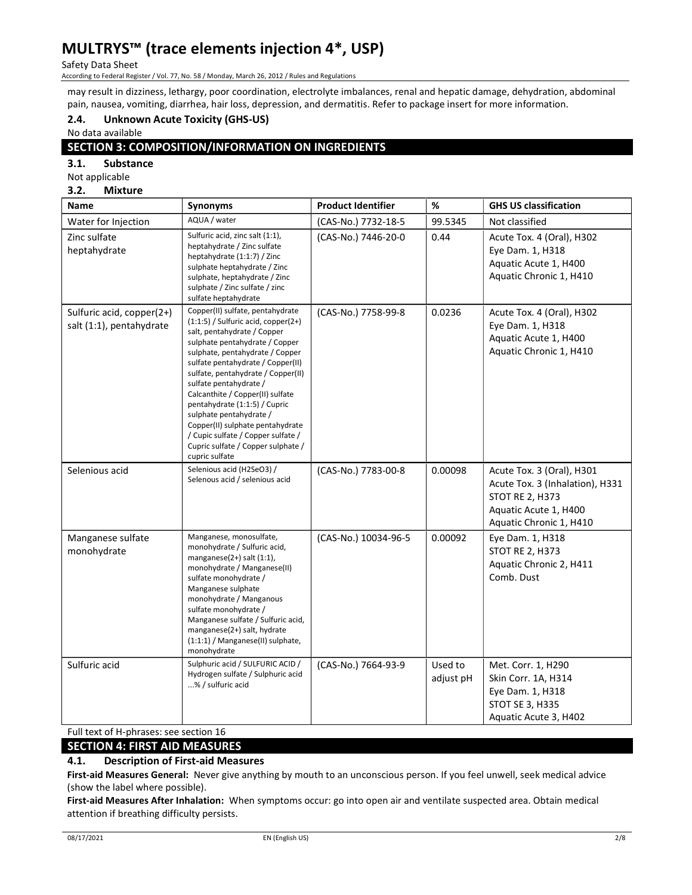Safety Data Sheet

According to Federal Register / Vol. 77, No. 58 / Monday, March 26, 2012 / Rules and Regulations

may result in dizziness, lethargy, poor coordination, electrolyte imbalances, renal and hepatic damage, dehydration, abdominal pain, nausea, vomiting, diarrhea, hair loss, depression, and dermatitis. Refer to package insert for more information.

# 2.4. Unknown Acute Toxicity (GHS-US)

No data available

# SECTION 3: COMPOSITION/INFORMATION ON INGREDIENTS

3.1. Substance

Not applicable

#### 3.2. Mixture

| Name                                                  | Synonyms                                                                                                                                                                                                                                                                                                                                                                                                                                                                                                                | <b>Product Identifier</b> | $\%$                 | <b>GHS US classification</b>                                                                                                               |
|-------------------------------------------------------|-------------------------------------------------------------------------------------------------------------------------------------------------------------------------------------------------------------------------------------------------------------------------------------------------------------------------------------------------------------------------------------------------------------------------------------------------------------------------------------------------------------------------|---------------------------|----------------------|--------------------------------------------------------------------------------------------------------------------------------------------|
| Water for Injection                                   | AQUA / water                                                                                                                                                                                                                                                                                                                                                                                                                                                                                                            | (CAS-No.) 7732-18-5       | 99.5345              | Not classified                                                                                                                             |
| Zinc sulfate<br>heptahydrate                          | Sulfuric acid, zinc salt (1:1),<br>heptahydrate / Zinc sulfate<br>heptahydrate (1:1:7) / Zinc<br>sulphate heptahydrate / Zinc<br>sulphate, heptahydrate / Zinc<br>sulphate / Zinc sulfate / zinc<br>sulfate heptahydrate                                                                                                                                                                                                                                                                                                | (CAS-No.) 7446-20-0       | 0.44                 | Acute Tox. 4 (Oral), H302<br>Eye Dam. 1, H318<br>Aquatic Acute 1, H400<br>Aquatic Chronic 1, H410                                          |
| Sulfuric acid, copper(2+)<br>salt (1:1), pentahydrate | Copper(II) sulfate, pentahydrate<br>$(1:1:5)$ / Sulfuric acid, copper $(2+)$<br>salt, pentahydrate / Copper<br>sulphate pentahydrate / Copper<br>sulphate, pentahydrate / Copper<br>sulfate pentahydrate / Copper(II)<br>sulfate, pentahydrate / Copper(II)<br>sulfate pentahydrate /<br>Calcanthite / Copper(II) sulfate<br>pentahydrate (1:1:5) / Cupric<br>sulphate pentahydrate /<br>Copper(II) sulphate pentahydrate<br>/ Cupic sulfate / Copper sulfate /<br>Cupric sulfate / Copper sulphate /<br>cupric sulfate | (CAS-No.) 7758-99-8       | 0.0236               | Acute Tox. 4 (Oral), H302<br>Eye Dam. 1, H318<br>Aquatic Acute 1, H400<br>Aquatic Chronic 1, H410                                          |
| Selenious acid                                        | Selenious acid (H2SeO3) /<br>Selenous acid / selenious acid                                                                                                                                                                                                                                                                                                                                                                                                                                                             | (CAS-No.) 7783-00-8       | 0.00098              | Acute Tox. 3 (Oral), H301<br>Acute Tox. 3 (Inhalation), H331<br><b>STOT RE 2, H373</b><br>Aquatic Acute 1, H400<br>Aquatic Chronic 1, H410 |
| Manganese sulfate<br>monohydrate                      | Manganese, monosulfate,<br>monohydrate / Sulfuric acid,<br>manganese $(2+)$ salt $(1:1)$ ,<br>monohydrate / Manganese(II)<br>sulfate monohydrate /<br>Manganese sulphate<br>monohydrate / Manganous<br>sulfate monohydrate /<br>Manganese sulfate / Sulfuric acid,<br>manganese(2+) salt, hydrate<br>$(1:1:1)$ / Manganese(II) sulphate,<br>monohydrate                                                                                                                                                                 | (CAS-No.) 10034-96-5      | 0.00092              | Eye Dam. 1, H318<br><b>STOT RE 2, H373</b><br>Aquatic Chronic 2, H411<br>Comb. Dust                                                        |
| Sulfuric acid                                         | Sulphuric acid / SULFURIC ACID /<br>Hydrogen sulfate / Sulphuric acid<br>% / sulfuric acid                                                                                                                                                                                                                                                                                                                                                                                                                              | (CAS-No.) 7664-93-9       | Used to<br>adjust pH | Met. Corr. 1, H290<br>Skin Corr. 1A, H314<br>Eye Dam. 1, H318<br>STOT SE 3, H335<br>Aquatic Acute 3, H402                                  |

Full text of H-phrases: see section 16

# SECTION 4: FIRST AID MEASURES

# 4.1. Description of First-aid Measures

First-aid Measures General: Never give anything by mouth to an unconscious person. If you feel unwell, seek medical advice (show the label where possible).

First-aid Measures After Inhalation: When symptoms occur: go into open air and ventilate suspected area. Obtain medical attention if breathing difficulty persists.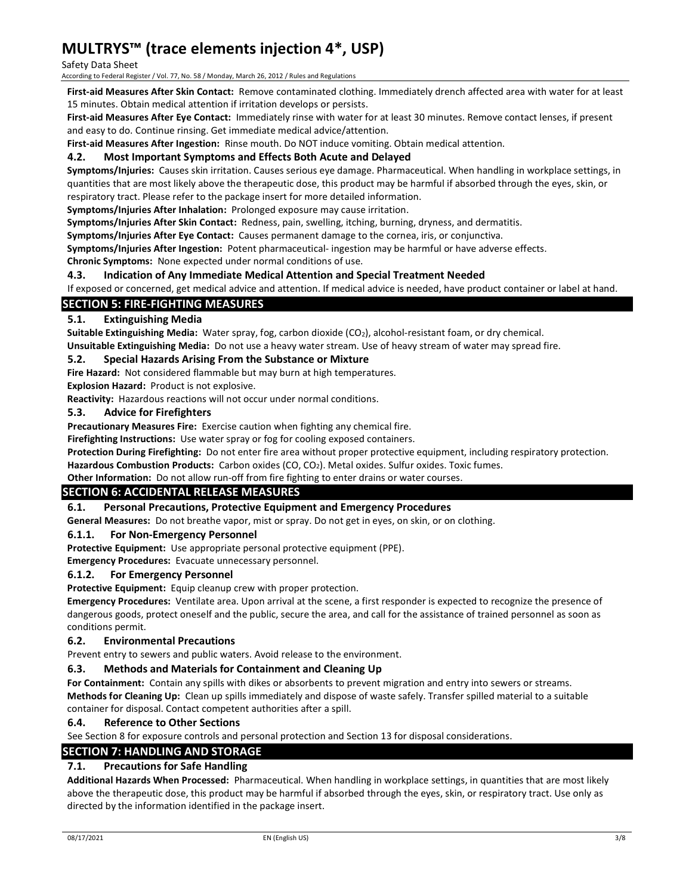### Safety Data Sheet

According to Federal Register / Vol. 77, No. 58 / Monday, March 26, 2012 / Rules and Regulations

First-aid Measures After Skin Contact: Remove contaminated clothing. Immediately drench affected area with water for at least 15 minutes. Obtain medical attention if irritation develops or persists.

First-aid Measures After Eye Contact: Immediately rinse with water for at least 30 minutes. Remove contact lenses, if present and easy to do. Continue rinsing. Get immediate medical advice/attention.

First-aid Measures After Ingestion: Rinse mouth. Do NOT induce vomiting. Obtain medical attention.

# 4.2. Most Important Symptoms and Effects Both Acute and Delayed

Symptoms/Injuries: Causes skin irritation. Causes serious eye damage. Pharmaceutical. When handling in workplace settings, in quantities that are most likely above the therapeutic dose, this product may be harmful if absorbed through the eyes, skin, or respiratory tract. Please refer to the package insert for more detailed information.

Symptoms/Injuries After Inhalation: Prolonged exposure may cause irritation.

Symptoms/Injuries After Skin Contact: Redness, pain, swelling, itching, burning, dryness, and dermatitis.

Symptoms/Injuries After Eye Contact: Causes permanent damage to the cornea, iris, or conjunctiva.

Symptoms/Injuries After Ingestion: Potent pharmaceutical- ingestion may be harmful or have adverse effects.

Chronic Symptoms: None expected under normal conditions of use.

### 4.3. Indication of Any Immediate Medical Attention and Special Treatment Needed

If exposed or concerned, get medical advice and attention. If medical advice is needed, have product container or label at hand.

# SECTION 5: FIRE-FIGHTING MEASURES

### 5.1. Extinguishing Media

Suitable Extinguishing Media: Water spray, fog, carbon dioxide (CO<sub>2</sub>), alcohol-resistant foam, or dry chemical. Unsuitable Extinguishing Media: Do not use a heavy water stream. Use of heavy stream of water may spread fire.

### 5.2. Special Hazards Arising From the Substance or Mixture

Fire Hazard: Not considered flammable but may burn at high temperatures.

Explosion Hazard: Product is not explosive.

Reactivity: Hazardous reactions will not occur under normal conditions.

### 5.3. Advice for Firefighters

Precautionary Measures Fire: Exercise caution when fighting any chemical fire.

Firefighting Instructions: Use water spray or fog for cooling exposed containers.

Protection During Firefighting: Do not enter fire area without proper protective equipment, including respiratory protection.

Hazardous Combustion Products: Carbon oxides (CO, CO<sub>2</sub>). Metal oxides. Sulfur oxides. Toxic fumes.

Other Information: Do not allow run-off from fire fighting to enter drains or water courses.

# SECTION 6: ACCIDENTAL RELEASE MEASURES

### 6.1. Personal Precautions, Protective Equipment and Emergency Procedures

General Measures: Do not breathe vapor, mist or spray. Do not get in eyes, on skin, or on clothing.

### 6.1.1. For Non-Emergency Personnel

Protective Equipment: Use appropriate personal protective equipment (PPE).

Emergency Procedures: Evacuate unnecessary personnel.

### 6.1.2. For Emergency Personnel

Protective Equipment: Equip cleanup crew with proper protection.

Emergency Procedures: Ventilate area. Upon arrival at the scene, a first responder is expected to recognize the presence of dangerous goods, protect oneself and the public, secure the area, and call for the assistance of trained personnel as soon as conditions permit.

### 6.2. Environmental Precautions

Prevent entry to sewers and public waters. Avoid release to the environment.

### 6.3. Methods and Materials for Containment and Cleaning Up

For Containment: Contain any spills with dikes or absorbents to prevent migration and entry into sewers or streams. Methods for Cleaning Up: Clean up spills immediately and dispose of waste safely. Transfer spilled material to a suitable

container for disposal. Contact competent authorities after a spill.

### 6.4. Reference to Other Sections

See Section 8 for exposure controls and personal protection and Section 13 for disposal considerations.

### SECTION 7: HANDLING AND STORAGE

# 7.1. Precautions for Safe Handling

Additional Hazards When Processed: Pharmaceutical. When handling in workplace settings, in quantities that are most likely above the therapeutic dose, this product may be harmful if absorbed through the eyes, skin, or respiratory tract. Use only as directed by the information identified in the package insert.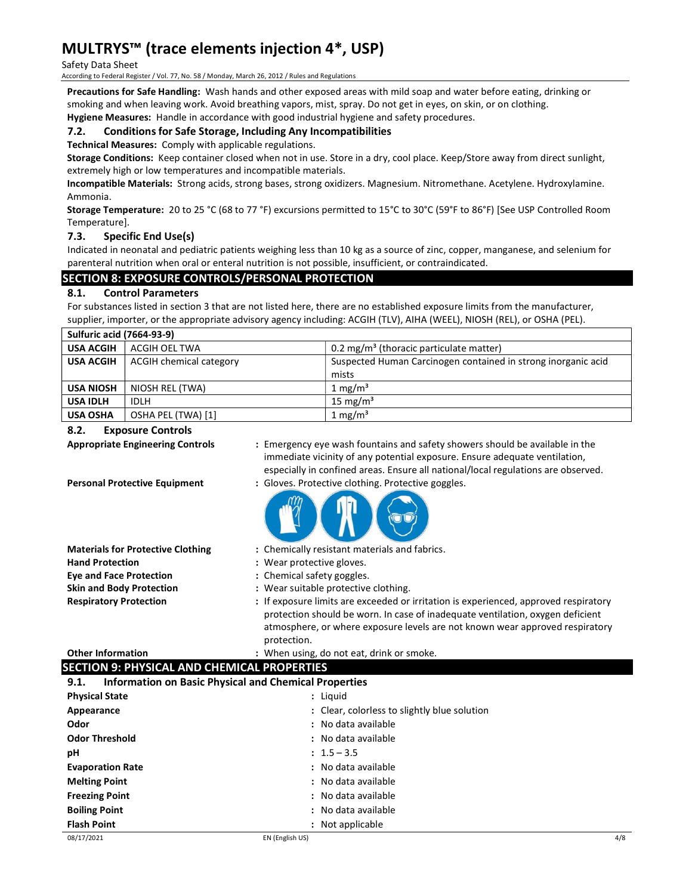#### Safety Data Sheet

According to Federal Register / Vol. 77, No. 58 / Monday, March 26, 2012 / Rules and Regulations

Precautions for Safe Handling: Wash hands and other exposed areas with mild soap and water before eating, drinking or smoking and when leaving work. Avoid breathing vapors, mist, spray. Do not get in eyes, on skin, or on clothing.

Hygiene Measures: Handle in accordance with good industrial hygiene and safety procedures.

### 7.2. Conditions for Safe Storage, Including Any Incompatibilities

Technical Measures: Comply with applicable regulations.

Storage Conditions: Keep container closed when not in use. Store in a dry, cool place. Keep/Store away from direct sunlight, extremely high or low temperatures and incompatible materials.

Incompatible Materials: Strong acids, strong bases, strong oxidizers. Magnesium. Nitromethane. Acetylene. Hydroxylamine. Ammonia.

Storage Temperature: 20 to 25 °C (68 to 77 °F) excursions permitted to 15°C to 30°C (59°F to 86°F) [See USP Controlled Room Temperature].

### 7.3. Specific End Use(s)

Indicated in neonatal and pediatric patients weighing less than 10 kg as a source of zinc, copper, manganese, and selenium for parenteral nutrition when oral or enteral nutrition is not possible, insufficient, or contraindicated.

# SECTION 8: EXPOSURE CONTROLS/PERSONAL PROTECTION

# 8.1. Control Parameters

For substances listed in section 3 that are not listed here, there are no established exposure limits from the manufacturer, supplier, importer, or the appropriate advisory agency including: ACGIH (TLV), AIHA (WEEL), NIOSH (REL), or OSHA (PEL).

| <b>Sulfuric acid (7664-93-9)</b> |                         |                                                               |  |
|----------------------------------|-------------------------|---------------------------------------------------------------|--|
| <b>USA ACGIH</b>                 | ACGIH OEL TWA           | 0.2 mg/m <sup>3</sup> (thoracic particulate matter)           |  |
| <b>USA ACGIH</b>                 | ACGIH chemical category | Suspected Human Carcinogen contained in strong inorganic acid |  |
|                                  |                         | mists                                                         |  |
| <b>USA NIOSH</b>                 | NIOSH REL (TWA)         | 1 mg/m <sup>3</sup>                                           |  |
| <b>USA IDLH</b>                  | IDLH                    | 15 mg/m <sup>3</sup>                                          |  |
| <b>USA OSHA</b>                  | OSHA PEL (TWA) [1]      | $1 \text{ mg/m}^3$                                            |  |

### 8.2. Exposure Controls

- Appropriate Engineering Controls : Emergency eye wash fountains and safety showers should be available in the immediate vicinity of any potential exposure. Ensure adequate ventilation, especially in confined areas. Ensure all national/local regulations are observed.
- Personal Protective Equipment : Gloves. Protective clothing. Protective goggles.



- Materials for Protective Clothing : Chemically resistant materials and fabrics.
- Hand Protection **:** Wear protective gloves.
- Eye and Face Protection : Chemical safety goggles.
- Skin and Body Protection : Wear suitable protective clothing.
- Respiratory Protection : If exposure limits are exceeded or irritation is experienced, approved respiratory protection should be worn. In case of inadequate ventilation, oxygen deficient atmosphere, or where exposure levels are not known wear approved respiratory protection.

#### Other Information : When using, do not eat, drink or smoke. **SECTION 9: PHYSICAL AND CHEMICAL PROPERTIES**

|                                                                      | SECTION 9. FATSICAL AND CHEMICAL FROFERTIES |                                              |     |
|----------------------------------------------------------------------|---------------------------------------------|----------------------------------------------|-----|
| <b>Information on Basic Physical and Chemical Properties</b><br>9.1. |                                             |                                              |     |
| <b>Physical State</b>                                                |                                             | : Liguid                                     |     |
| Appearance                                                           |                                             | : Clear, colorless to slightly blue solution |     |
| Odor                                                                 |                                             | : No data available                          |     |
| <b>Odor Threshold</b>                                                |                                             | : No data available                          |     |
| рH                                                                   |                                             | $: 1.5 - 3.5$                                |     |
| <b>Evaporation Rate</b>                                              |                                             | : No data available                          |     |
| <b>Melting Point</b>                                                 |                                             | : No data available                          |     |
| <b>Freezing Point</b>                                                |                                             | : No data available                          |     |
| <b>Boiling Point</b>                                                 |                                             | : No data available                          |     |
| <b>Flash Point</b>                                                   |                                             | : Not applicable                             |     |
| 08/17/2021                                                           | EN (English US)                             |                                              | 4/8 |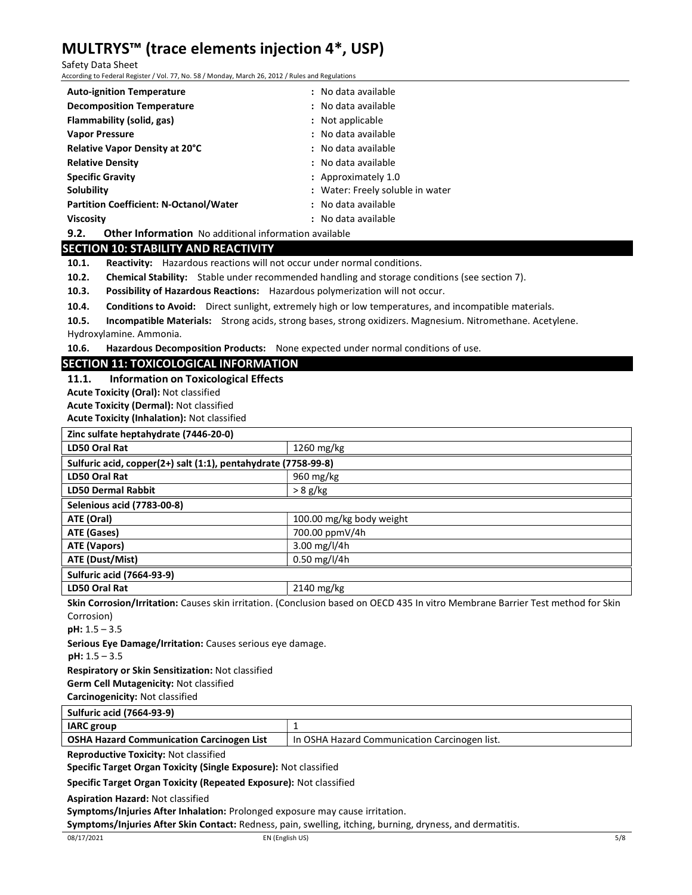Safety Data Sheet

According to Federal Register / Vol. 77, No. 58 / Monday, March 26, 2012 / Rules and Regulations

| <b>Auto-ignition Temperature</b>              | : No data available              |
|-----------------------------------------------|----------------------------------|
| <b>Decomposition Temperature</b>              | : No data available              |
| Flammability (solid, gas)                     | : Not applicable                 |
| <b>Vapor Pressure</b>                         | : No data available              |
| Relative Vapor Density at 20°C                | : No data available              |
| <b>Relative Density</b>                       | : No data available              |
| <b>Specific Gravity</b>                       | : Approximately $1.0$            |
| Solubility                                    | : Water: Freely soluble in water |
| <b>Partition Coefficient: N-Octanol/Water</b> | : No data available              |
| <b>Viscosity</b>                              | : No data available              |
|                                               |                                  |

9.2. Other Information No additional information available

# SECTION 10: STABILITY AND REACTIVITY

10.1. Reactivity: Hazardous reactions will not occur under normal conditions.

10.2. Chemical Stability: Stable under recommended handling and storage conditions (see section 7).

10.3. Possibility of Hazardous Reactions: Hazardous polymerization will not occur.

10.4. Conditions to Avoid: Direct sunlight, extremely high or low temperatures, and incompatible materials.

10.5. Incompatible Materials: Strong acids, strong bases, strong oxidizers. Magnesium. Nitromethane. Acetylene.

Hydroxylamine. Ammonia.

10.6. Hazardous Decomposition Products: None expected under normal conditions of use.

# SECTION 11: TOXICOLOGICAL INFORMATION

11.1. Information on Toxicological Effects

Acute Toxicity (Oral): Not classified

Acute Toxicity (Dermal): Not classified

Acute Toxicity (Inhalation): Not classified

| Zinc sulfate heptahydrate (7446-20-0)                          |                          |  |
|----------------------------------------------------------------|--------------------------|--|
| LD50 Oral Rat                                                  | 1260 mg/kg               |  |
| Sulfuric acid, copper(2+) salt (1:1), pentahydrate (7758-99-8) |                          |  |
| LD50 Oral Rat                                                  | 960 mg/kg                |  |
| <b>LD50 Dermal Rabbit</b>                                      | $> 8$ g/kg               |  |
| <b>Selenious acid (7783-00-8)</b>                              |                          |  |
| ATE (Oral)                                                     | 100.00 mg/kg body weight |  |
| ATE (Gases)                                                    | 700.00 ppmV/4h           |  |
| ATE (Vapors)                                                   | 3.00 $mg/l/4h$           |  |
| ATE (Dust/Mist)                                                | $0.50$ mg/l/4h           |  |
| <b>Sulfuric acid (7664-93-9)</b>                               |                          |  |
| LD50 Oral Rat                                                  | 2140 mg/kg               |  |

Skin Corrosion/Irritation: Causes skin irritation. (Conclusion based on OECD 435 In vitro Membrane Barrier Test method for Skin Corrosion)

pH: 1.5 – 3.5

Serious Eye Damage/Irritation: Causes serious eye damage.

pH: 1.5 – 3.5

Respiratory or Skin Sensitization: Not classified

Germ Cell Mutagenicity: Not classified

Carcinogenicity: Not classified

Sulfuric acid (7664-93-9) IARC group 1 OSHA Hazard Communication Carcinogen List | In OSHA Hazard Communication Carcinogen list.

Reproductive Toxicity: Not classified

Specific Target Organ Toxicity (Single Exposure): Not classified

Specific Target Organ Toxicity (Repeated Exposure): Not classified

Aspiration Hazard: Not classified

Symptoms/Injuries After Inhalation: Prolonged exposure may cause irritation.

Symptoms/Injuries After Skin Contact: Redness, pain, swelling, itching, burning, dryness, and dermatitis.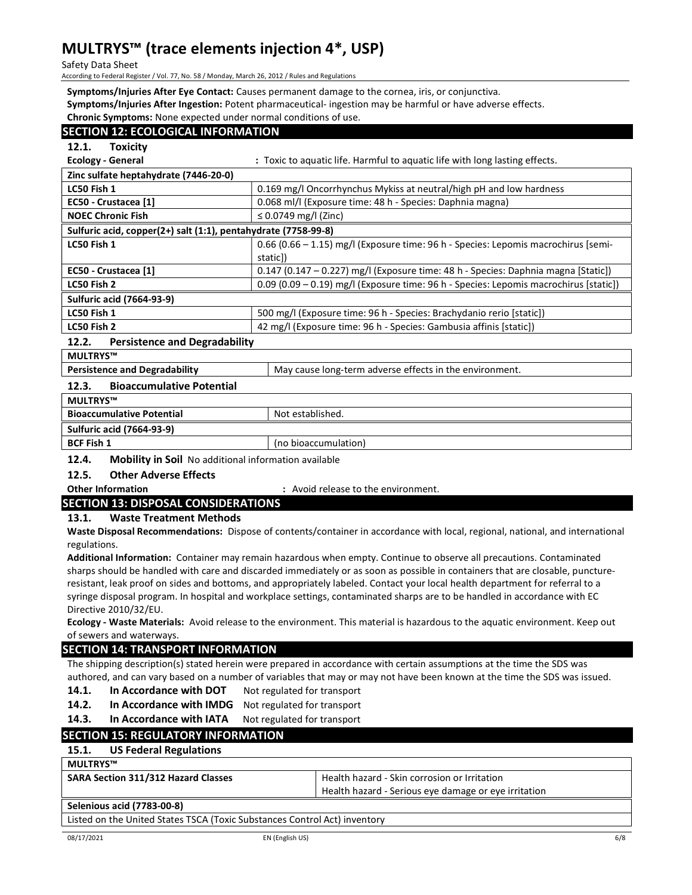Safety Data Sheet

According to Federal Register / Vol. 77, No. 58 / Monday, March 26, 2012 / Rules and Regulations

Symptoms/Injuries After Eye Contact: Causes permanent damage to the cornea, iris, or conjunctiva. Symptoms/Injuries After Ingestion: Potent pharmaceutical- ingestion may be harmful or have adverse effects. Chronic Symptoms: None expected under normal conditions of use.

| <b>SECTION 12: ECOLOGICAL INFORMATION</b>                                                            |                                                                                      |  |  |
|------------------------------------------------------------------------------------------------------|--------------------------------------------------------------------------------------|--|--|
| 12.1.<br><b>Toxicity</b>                                                                             |                                                                                      |  |  |
| <b>Ecology - General</b>                                                                             | : Toxic to aquatic life. Harmful to aquatic life with long lasting effects.          |  |  |
| Zinc sulfate heptahydrate (7446-20-0)                                                                |                                                                                      |  |  |
| LC50 Fish 1                                                                                          | 0.169 mg/l Oncorrhynchus Mykiss at neutral/high pH and low hardness                  |  |  |
| EC50 - Crustacea [1]                                                                                 | 0.068 ml/l (Exposure time: 48 h - Species: Daphnia magna)                            |  |  |
| <b>NOEC Chronic Fish</b>                                                                             | ≤ 0.0749 mg/l (Zinc)                                                                 |  |  |
| Sulfuric acid, copper(2+) salt (1:1), pentahydrate (7758-99-8)                                       |                                                                                      |  |  |
| LC50 Fish 1                                                                                          | 0.66 (0.66 - 1.15) mg/l (Exposure time: 96 h - Species: Lepomis macrochirus [semi-   |  |  |
|                                                                                                      | static])                                                                             |  |  |
| EC50 - Crustacea [1]                                                                                 | $0.147$ (0.147 – 0.227) mg/l (Exposure time: 48 h - Species: Daphnia magna [Static]) |  |  |
| 0.09 (0.09 - 0.19) mg/l (Exposure time: 96 h - Species: Lepomis macrochirus [static])<br>LC50 Fish 2 |                                                                                      |  |  |
| <b>Sulfuric acid (7664-93-9)</b>                                                                     |                                                                                      |  |  |
| LC50 Fish 1                                                                                          | 500 mg/l (Exposure time: 96 h - Species: Brachydanio rerio [static])                 |  |  |
| LC50 Fish 2<br>42 mg/l (Exposure time: 96 h - Species: Gambusia affinis [static])                    |                                                                                      |  |  |
| <b>Persistence and Degradability</b><br>12.2.                                                        |                                                                                      |  |  |
| MULTRYS™                                                                                             |                                                                                      |  |  |
| <b>Persistence and Degradability</b><br>May cause long-term adverse effects in the environment.      |                                                                                      |  |  |
| 12.3.<br><b>Bioaccumulative Potential</b>                                                            |                                                                                      |  |  |
| <b>MULTRYS™</b>                                                                                      |                                                                                      |  |  |
| <b>Bioaccumulative Potential</b>                                                                     | Not established.                                                                     |  |  |
| <b>Sulfuric acid (7664-93-9)</b>                                                                     |                                                                                      |  |  |

12.4. Mobility in Soil No additional information available

**BCF Fish 1** (no bioaccumulation)

### 12.5. Other Adverse Effects

Other Information : Avoid release to the environment.

# SECTION 13: DISPOSAL CONSIDERATIONS

13.1. Waste Treatment Methods

Waste Disposal Recommendations: Dispose of contents/container in accordance with local, regional, national, and international regulations.

Additional Information: Container may remain hazardous when empty. Continue to observe all precautions. Contaminated sharps should be handled with care and discarded immediately or as soon as possible in containers that are closable, punctureresistant, leak proof on sides and bottoms, and appropriately labeled. Contact your local health department for referral to a syringe disposal program. In hospital and workplace settings, contaminated sharps are to be handled in accordance with EC Directive 2010/32/EU.

Ecology - Waste Materials: Avoid release to the environment. This material is hazardous to the aquatic environment. Keep out of sewers and waterways.

# SECTION 14: TRANSPORT INFORMATION

The shipping description(s) stated herein were prepared in accordance with certain assumptions at the time the SDS was authored, and can vary based on a number of variables that may or may not have been known at the time the SDS was issued.

14.1. In Accordance with DOT Not regulated for transport

- 14.2. In Accordance with IMDG Not regulated for transport
- 14.3. In Accordance with IATA Not regulated for transport

# SECTION 15: REGULATORY INFORMATION

# 15.1. US Federal Regulations

| MULTRYS™ |  |
|----------|--|
|----------|--|

| SARA Section 311/312 Hazard Classes |  |  |  |  |
|-------------------------------------|--|--|--|--|
|-------------------------------------|--|--|--|--|

Health hazard - Skin corrosion or Irritation Health hazard - Serious eye damage or eye irritation

# Selenious acid (7783-00-8)

Listed on the United States TSCA (Toxic Substances Control Act) inventory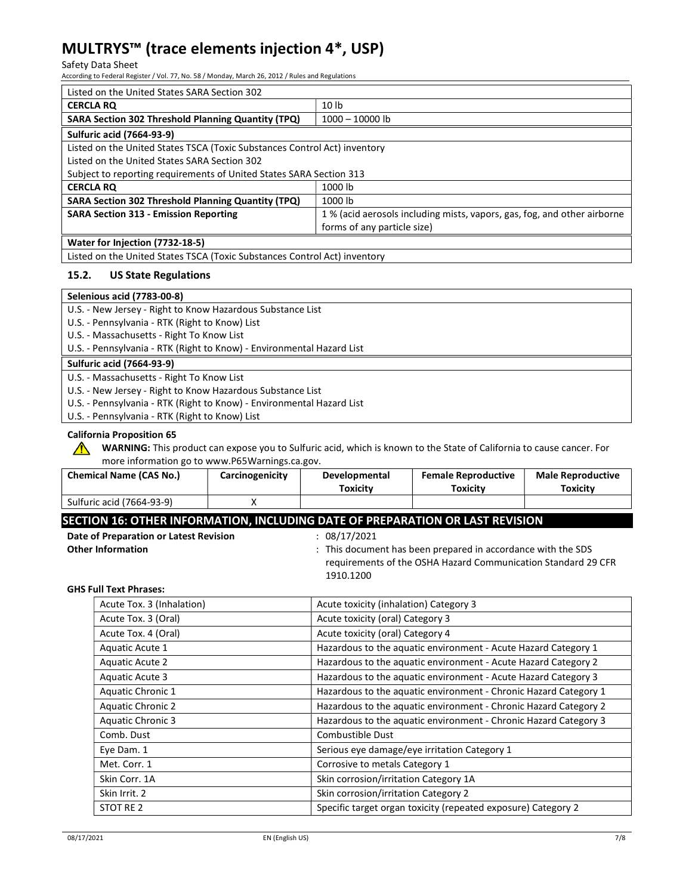#### Safety Data Sheet

According to Federal Register / Vol. 77, No. 58 / Monday, March 26, 2012 / Rules and Regulations

| Listed on the United States SARA Section 302                              |                                                                          |  |  |
|---------------------------------------------------------------------------|--------------------------------------------------------------------------|--|--|
| <b>CERCLA RO</b>                                                          | 10 <sub>1b</sub>                                                         |  |  |
| <b>SARA Section 302 Threshold Planning Quantity (TPQ)</b>                 | $1000 - 10000$ lb                                                        |  |  |
| <b>Sulfuric acid (7664-93-9)</b>                                          |                                                                          |  |  |
| Listed on the United States TSCA (Toxic Substances Control Act) inventory |                                                                          |  |  |
| Listed on the United States SARA Section 302                              |                                                                          |  |  |
| Subject to reporting requirements of United States SARA Section 313       |                                                                          |  |  |
| <b>CERCLA RO</b>                                                          | 1000 lb                                                                  |  |  |
| <b>SARA Section 302 Threshold Planning Quantity (TPQ)</b>                 | 1000 lb                                                                  |  |  |
| <b>SARA Section 313 - Emission Reporting</b>                              | 1 % (acid aerosols including mists, vapors, gas, fog, and other airborne |  |  |
| forms of any particle size)                                               |                                                                          |  |  |
| Water for Injection (7732-18-5)                                           |                                                                          |  |  |
| Listed on the United States TSCA (Toxic Substances Control Act) inventory |                                                                          |  |  |

### 15.2. US State Regulations

U.S. - Pennsylvania - RTK (Right to Know) List

U.S. - Massachusetts - Right To Know List

U.S. - Pennsylvania - RTK (Right to Know) - Environmental Hazard List

### Sulfuric acid (7664-93-9)

U.S. - Massachusetts - Right To Know List

U.S. - New Jersey - Right to Know Hazardous Substance List

U.S. - Pennsylvania - RTK (Right to Know) - Environmental Hazard List

U.S. - Pennsylvania - RTK (Right to Know) List

### California Proposition 65

 $\sqrt{N}$ 

WARNING: This product can expose you to Sulfuric acid, which is known to the State of California to cause cancer. For more information go to www.P65Warnings.ca.gov.

| <b>Chemical Name (CAS No.)</b> | <b>Carcinogenicity</b> | Developmental<br>Toxicitv | <b>Female Reproductive</b><br>Toxicitv | <b>Male Reproductive</b><br>Toxicitv |
|--------------------------------|------------------------|---------------------------|----------------------------------------|--------------------------------------|
| Sulfuric acid (7664-93-9)      |                        |                           |                                        |                                      |

# SECTION 16: OTHER INFORMATION, INCLUDING DATE OF PREPARATION OR LAST REVISION

| Date of Preparation or Latest Revision |  |
|----------------------------------------|--|
| Other Information                      |  |

 $n = 08/17/2021$ 

Other Information **Summation** in the SDS in the SDS in the SDS of the SDS in the SDS of the SDS requirements of the OSHA Hazard Communication Standard 29 CFR 1910.1200

#### GHS Full Text Phrases:

| Acute Tox. 3 (Inhalation) | Acute toxicity (inhalation) Category 3                           |  |
|---------------------------|------------------------------------------------------------------|--|
| Acute Tox. 3 (Oral)       | Acute toxicity (oral) Category 3                                 |  |
| Acute Tox. 4 (Oral)       | Acute toxicity (oral) Category 4                                 |  |
| Aquatic Acute 1           | Hazardous to the aquatic environment - Acute Hazard Category 1   |  |
| Aquatic Acute 2           | Hazardous to the aquatic environment - Acute Hazard Category 2   |  |
| Aquatic Acute 3           | Hazardous to the aquatic environment - Acute Hazard Category 3   |  |
| Aquatic Chronic 1         | Hazardous to the aquatic environment - Chronic Hazard Category 1 |  |
| <b>Aquatic Chronic 2</b>  | Hazardous to the aquatic environment - Chronic Hazard Category 2 |  |
| <b>Aquatic Chronic 3</b>  | Hazardous to the aquatic environment - Chronic Hazard Category 3 |  |
| Comb. Dust                | Combustible Dust                                                 |  |
| Eye Dam. 1                | Serious eye damage/eye irritation Category 1                     |  |
| Met. Corr. 1              | Corrosive to metals Category 1                                   |  |
| Skin Corr. 1A             | Skin corrosion/irritation Category 1A                            |  |
| Skin Irrit. 2             | Skin corrosion/irritation Category 2                             |  |
| STOT RE 2                 | Specific target organ toxicity (repeated exposure) Category 2    |  |